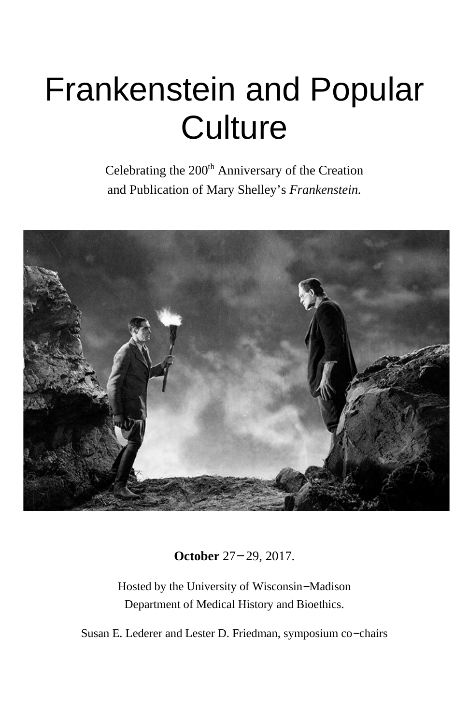# Frankenstein and Popular **Culture**

Celebrating the 200<sup>th</sup> Anniversary of the Creation and Publication of Mary Shelley's *Frankenstein.*



**October** 27− 29, 2017.

Hosted by the University of Wisconsin−Madison Department of Medical History and Bioethics.

Susan E. Lederer and Lester D. Friedman, symposium co−chairs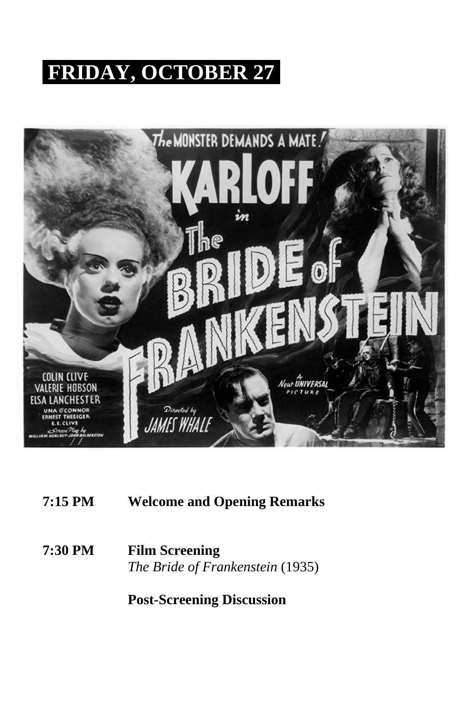# **FRIDAY, OCTOBER 27**



**7:15 PM Welcome and Opening Remarks**

**7:30 PM Film Screening** *The Bride of Frankenstein* (1935)

**Post-Screening Discussion**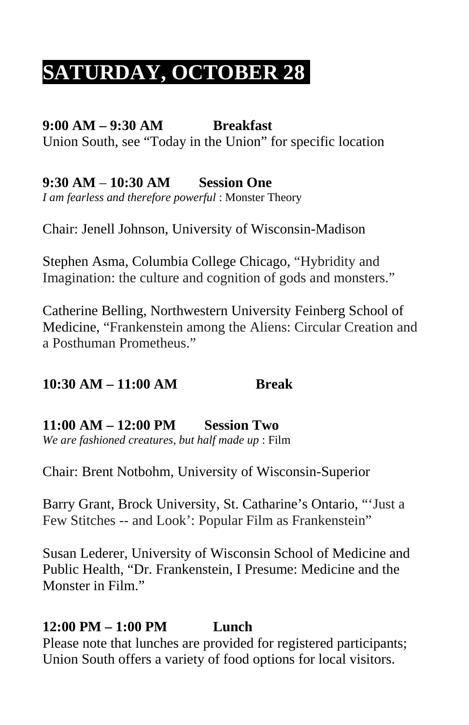# **SATURDAY, OCTOBER 28**

# **9:00 AM – 9:30 AM Breakfast**

Union South, see "Today in the Union" for specific location

**9:30 AM** – **10:30 AM Session One** *I am fearless and therefore powerful* : Monster Theory

Chair: Jenell Johnson, University of Wisconsin-Madison

Stephen Asma, Columbia College Chicago, "Hybridity and Imagination: the culture and cognition of gods and monsters."

Catherine Belling, Northwestern University Feinberg School of Medicine, "Frankenstein among the Aliens: Circular Creation and a Posthuman Prometheus."

#### **10:30 AM – 11:00 AM Break**

### **11:00 AM – 12:00 PM Session Two**

*We are fashioned creatures, but half made up* : Film

Chair: Brent Notbohm, University of Wisconsin-Superior

Barry Grant, Brock University, St. Catharine's Ontario, "'Just a Few Stitches -- and Look': Popular Film as Frankenstein"

Susan Lederer, University of Wisconsin School of Medicine and Public Health, "Dr. Frankenstein, I Presume: Medicine and the Monster in Film."

### **12:00 PM – 1:00 PM Lunch**

Please note that lunches are provided for registered participants; Union South offers a variety of food options for local visitors.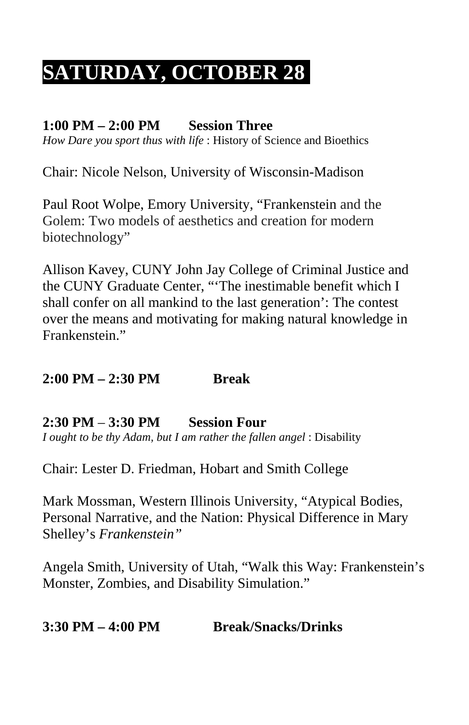# **SATURDAY, OCTOBER 28**

#### **1:00 PM – 2:00 PM Session Three**

*How Dare you sport thus with life* : History of Science and Bioethics

Chair: Nicole Nelson, University of Wisconsin-Madison

Paul Root Wolpe, Emory University, "Frankenstein and the Golem: Two models of aesthetics and creation for modern biotechnology"

Allison Kavey, CUNY John Jay College of Criminal Justice and the CUNY Graduate Center, "'The inestimable benefit which I shall confer on all mankind to the last generation': The contest over the means and motivating for making natural knowledge in Frankenstein."

### **2:00 PM – 2:30 PM Break**

#### **2:30 PM** – **3:30 PM Session Four**

*I ought to be thy Adam, but I am rather the fallen angel* : Disability

Chair: Lester D. Friedman, Hobart and Smith College

Mark Mossman, Western Illinois University, "Atypical Bodies, Personal Narrative, and the Nation: Physical Difference in Mary Shelley's *Frankenstein"*

Angela Smith, University of Utah, "Walk this Way: Frankenstein's Monster, Zombies, and Disability Simulation."

#### **3:30 PM – 4:00 PM Break/Snacks/Drinks**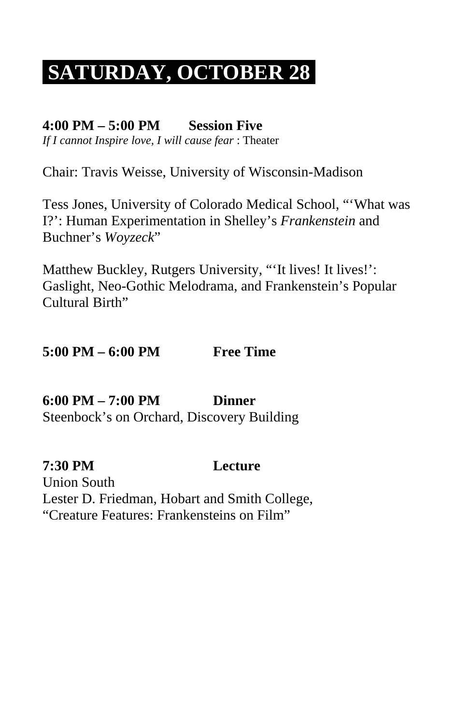# **SATURDAY, OCTOBER 28**

#### **4:00 PM – 5:00 PM Session Five**

*If I cannot Inspire love, I will cause fear* : Theater

Chair: Travis Weisse, University of Wisconsin-Madison

Tess Jones, University of Colorado Medical School, "'What was I?': Human Experimentation in Shelley's *Frankenstein* and Buchner's *Woyzeck*"

Matthew Buckley, Rutgers University, ""It lives! It lives!": Gaslight, Neo-Gothic Melodrama, and Frankenstein's Popular Cultural Birth"

## **5:00 PM – 6:00 PM Free Time**

#### **6:00 PM – 7:00 PM Dinner** Steenbock's on Orchard, Discovery Building

**7:30 PM Lecture**

Union South Lester D. Friedman, Hobart and Smith College, "Creature Features: Frankensteins on Film"